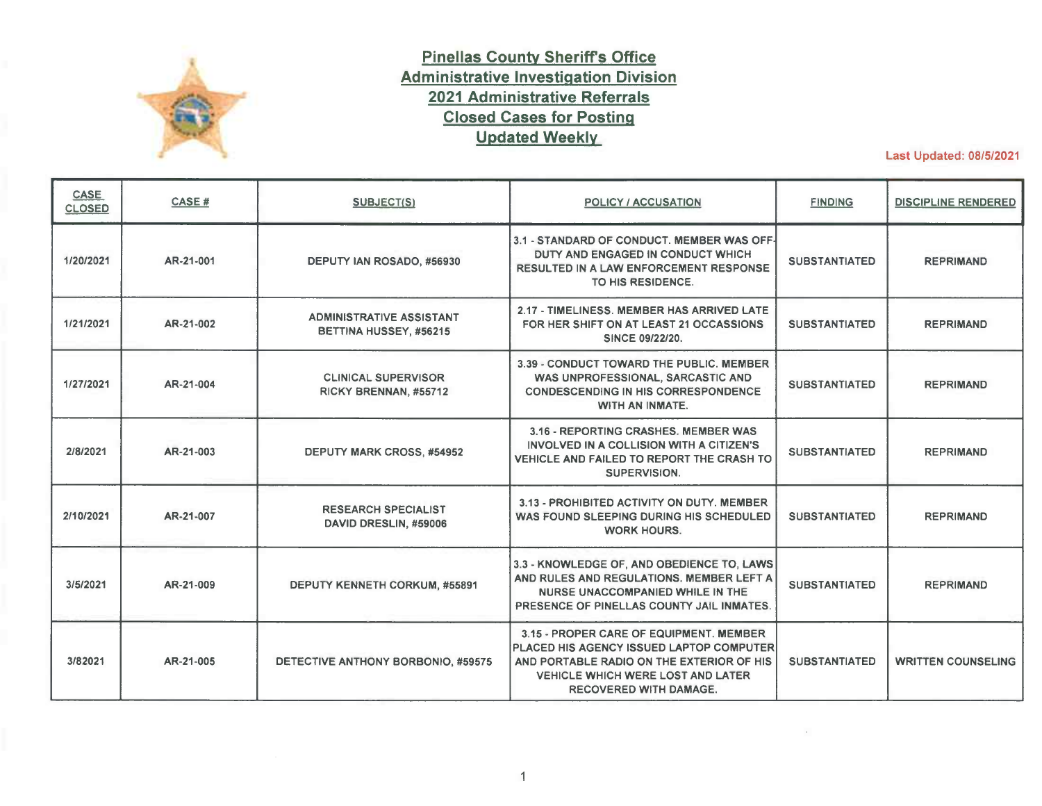

## **Pinellas County Sheriffs Office Administrative Investigation Division 2021 Administrative Referrals Closed Cases for Posting Updated Weekly**

Last Updated: 08/5/2021

| <b>CASE</b><br><b>CLOSED</b> | CASE#     | SUBJECT(S)                                                | <b>POLICY / ACCUSATION</b>                                                                                                                                                                                    | <b>FINDING</b>       | <b>DISCIPLINE RENDERED</b> |
|------------------------------|-----------|-----------------------------------------------------------|---------------------------------------------------------------------------------------------------------------------------------------------------------------------------------------------------------------|----------------------|----------------------------|
| 1/20/2021                    | AR-21-001 | DEPUTY IAN ROSADO, #56930                                 | 3.1 - STANDARD OF CONDUCT. MEMBER WAS OFF-<br>DUTY AND ENGAGED IN CONDUCT WHICH<br><b>RESULTED IN A LAW ENFORCEMENT RESPONSE</b><br>TO HIS RESIDENCE.                                                         | <b>SUBSTANTIATED</b> | <b>REPRIMAND</b>           |
| 1/21/2021                    | AR-21-002 | <b>ADMINISTRATIVE ASSISTANT</b><br>BETTINA HUSSEY, #56215 | 2.17 - TIMELINESS. MEMBER HAS ARRIVED LATE<br>FOR HER SHIFT ON AT LEAST 21 OCCASSIONS<br>SINCE 09/22/20.                                                                                                      | <b>SUBSTANTIATED</b> | <b>REPRIMAND</b>           |
| 1/27/2021                    | AR-21-004 | <b>CLINICAL SUPERVISOR</b><br>RICKY BRENNAN, #55712       | 3.39 - CONDUCT TOWARD THE PUBLIC, MEMBER<br>WAS UNPROFESSIONAL, SARCASTIC AND<br><b>CONDESCENDING IN HIS CORRESPONDENCE</b><br>WITH AN INMATE.                                                                | <b>SUBSTANTIATED</b> | <b>REPRIMAND</b>           |
| 2/8/2021                     | AR-21-003 | <b>DEPUTY MARK CROSS, #54952</b>                          | 3.16 - REPORTING CRASHES, MEMBER WAS<br>INVOLVED IN A COLLISION WITH A CITIZEN'S<br>VEHICLE AND FAILED TO REPORT THE CRASH TO<br>SUPERVISION.                                                                 | <b>SUBSTANTIATED</b> | <b>REPRIMAND</b>           |
| 2/10/2021                    | AR-21-007 | <b>RESEARCH SPECIALIST</b><br>DAVID DRESLIN, #59006       | 3.13 - PROHIBITED ACTIVITY ON DUTY. MEMBER<br>WAS FOUND SLEEPING DURING HIS SCHEDULED<br><b>WORK HOURS.</b>                                                                                                   | <b>SUBSTANTIATED</b> | <b>REPRIMAND</b>           |
| 3/5/2021                     | AR-21-009 | DEPUTY KENNETH CORKUM, #55891                             | 3.3 - KNOWLEDGE OF, AND OBEDIENCE TO, LAWS<br>AND RULES AND REGULATIONS. MEMBER LEFT A<br>NURSE UNACCOMPANIED WHILE IN THE<br>PRESENCE OF PINELLAS COUNTY JAIL INMATES.                                       | <b>SUBSTANTIATED</b> | <b>REPRIMAND</b>           |
| 3/82021                      | AR-21-005 | DETECTIVE ANTHONY BORBONIO, #59575                        | 3.15 - PROPER CARE OF EQUIPMENT, MEMBER<br>PLACED HIS AGENCY ISSUED LAPTOP COMPUTER<br>AND PORTABLE RADIO ON THE EXTERIOR OF HIS<br><b>VEHICLE WHICH WERE LOST AND LATER</b><br><b>RECOVERED WITH DAMAGE.</b> | <b>SUBSTANTIATED</b> | <b>WRITTEN COUNSELING</b>  |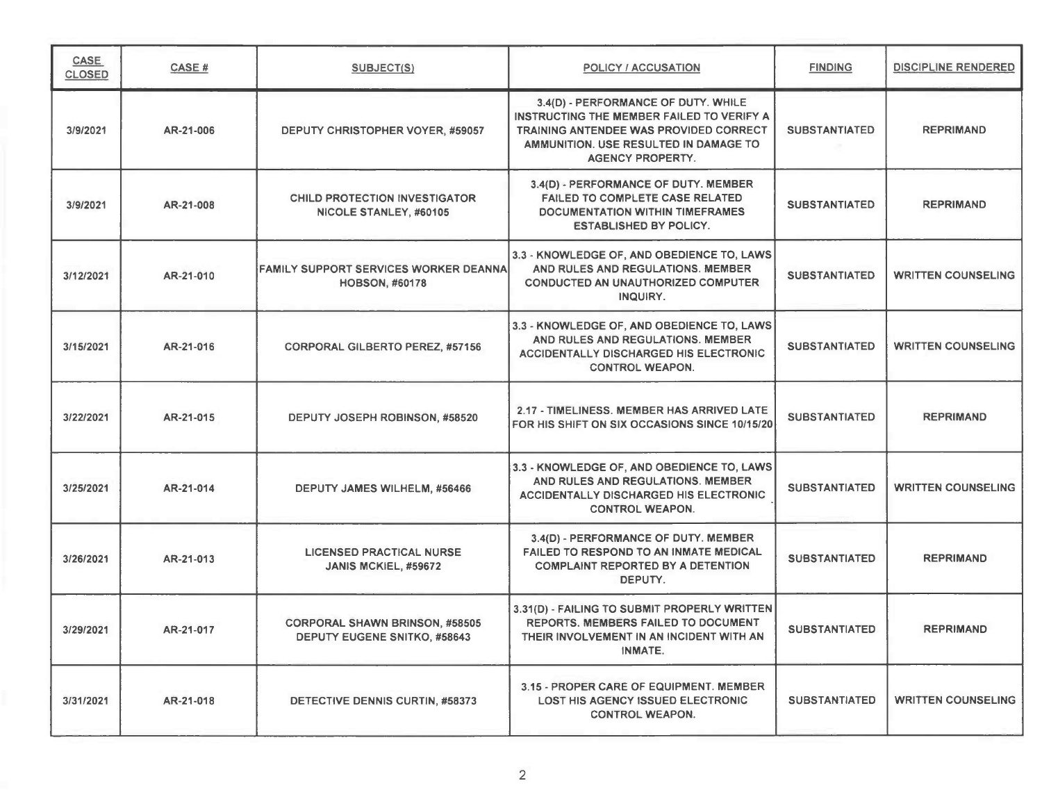| CASE<br><b>CLOSED</b> | CASE #    | <b>SUBJECT(S)</b>                                                            | <b>POLICY / ACCUSATION</b>                                                                                                                                                                     | <b>FINDING</b>       | <b>DISCIPLINE RENDERED</b> |
|-----------------------|-----------|------------------------------------------------------------------------------|------------------------------------------------------------------------------------------------------------------------------------------------------------------------------------------------|----------------------|----------------------------|
| 3/9/2021              | AR-21-006 | DEPUTY CHRISTOPHER VOYER, #59057                                             | 3.4(D) - PERFORMANCE OF DUTY. WHILE<br>INSTRUCTING THE MEMBER FAILED TO VERIFY A<br>TRAINING ANTENDEE WAS PROVIDED CORRECT<br>AMMUNITION. USE RESULTED IN DAMAGE TO<br><b>AGENCY PROPERTY.</b> | <b>SUBSTANTIATED</b> | <b>REPRIMAND</b>           |
| 3/9/2021              | AR-21-008 | <b>CHILD PROTECTION INVESTIGATOR</b><br>NICOLE STANLEY, #60105               | 3.4(D) - PERFORMANCE OF DUTY. MEMBER<br><b>FAILED TO COMPLETE CASE RELATED</b><br><b>DOCUMENTATION WITHIN TIMEFRAMES</b><br><b>ESTABLISHED BY POLICY.</b>                                      | <b>SUBSTANTIATED</b> | <b>REPRIMAND</b>           |
| 3/12/2021             | AR-21-010 | <b>FAMILY SUPPORT SERVICES WORKER DEANNA</b><br><b>HOBSON, #60178</b>        | 3.3 - KNOWLEDGE OF, AND OBEDIENCE TO, LAWS<br>AND RULES AND REGULATIONS. MEMBER<br><b>CONDUCTED AN UNAUTHORIZED COMPUTER</b><br>INQUIRY.                                                       | <b>SUBSTANTIATED</b> | <b>WRITTEN COUNSELING</b>  |
| 3/15/2021             | AR-21-016 | <b>CORPORAL GILBERTO PEREZ, #57156</b>                                       | 3.3 - KNOWLEDGE OF, AND OBEDIENCE TO, LAWS<br>AND RULES AND REGULATIONS. MEMBER<br><b>ACCIDENTALLY DISCHARGED HIS ELECTRONIC</b><br><b>CONTROL WEAPON.</b>                                     | <b>SUBSTANTIATED</b> | <b>WRITTEN COUNSELING</b>  |
| 3/22/2021             | AR-21-015 | DEPUTY JOSEPH ROBINSON, #58520                                               | 2.17 - TIMELINESS, MEMBER HAS ARRIVED LATE<br>FOR HIS SHIFT ON SIX OCCASIONS SINCE 10/15/20                                                                                                    | <b>SUBSTANTIATED</b> | <b>REPRIMAND</b>           |
| 3/25/2021             | AR-21-014 | DEPUTY JAMES WILHELM, #56466                                                 | 3.3 - KNOWLEDGE OF, AND OBEDIENCE TO, LAWS<br>AND RULES AND REGULATIONS. MEMBER<br>ACCIDENTALLY DISCHARGED HIS ELECTRONIC<br><b>CONTROL WEAPON.</b>                                            | <b>SUBSTANTIATED</b> | <b>WRITTEN COUNSELING</b>  |
| 3/26/2021             | AR-21-013 | <b>LICENSED PRACTICAL NURSE</b><br>JANIS MCKIEL, #59672                      | 3.4(D) - PERFORMANCE OF DUTY. MEMBER<br><b>FAILED TO RESPOND TO AN INMATE MEDICAL</b><br><b>COMPLAINT REPORTED BY A DETENTION</b><br>DEPUTY.                                                   | <b>SUBSTANTIATED</b> | <b>REPRIMAND</b>           |
| 3/29/2021             | AR-21-017 | <b>CORPORAL SHAWN BRINSON, #58505</b><br><b>DEPUTY EUGENE SNITKO, #58643</b> | 3.31(D) - FAILING TO SUBMIT PROPERLY WRITTEN<br>REPORTS. MEMBERS FAILED TO DOCUMENT<br>THEIR INVOLVEMENT IN AN INCIDENT WITH AN<br>INMATE.                                                     | <b>SUBSTANTIATED</b> | REPRIMAND                  |
| 3/31/2021             | AR-21-018 | DETECTIVE DENNIS CURTIN, #58373                                              | 3.15 - PROPER CARE OF EQUIPMENT. MEMBER<br><b>LOST HIS AGENCY ISSUED ELECTRONIC</b><br><b>CONTROL WEAPON.</b>                                                                                  | <b>SUBSTANTIATED</b> | <b>WRITTEN COUNSELING</b>  |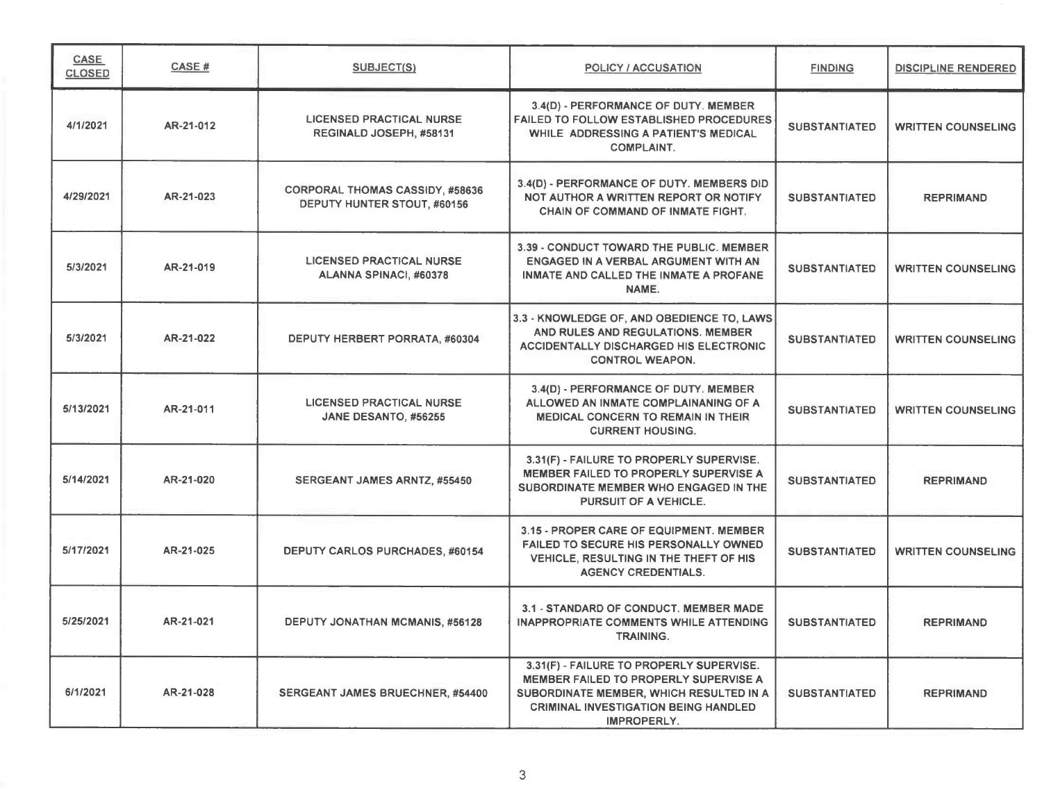| <b>CASE</b><br><b>CLOSED</b> | CASE#     | SUBJECT(S)                                                            | POLICY / ACCUSATION                                                                                                                                                                        | <b>FINDING</b>       | <b>DISCIPLINE RENDERED</b> |
|------------------------------|-----------|-----------------------------------------------------------------------|--------------------------------------------------------------------------------------------------------------------------------------------------------------------------------------------|----------------------|----------------------------|
| 4/1/2021                     | AR-21-012 | <b>LICENSED PRACTICAL NURSE</b><br>REGINALD JOSEPH, #58131            | 3.4(D) - PERFORMANCE OF DUTY. MEMBER<br><b>FAILED TO FOLLOW ESTABLISHED PROCEDURES</b><br>WHILE ADDRESSING A PATIENT'S MEDICAL<br><b>COMPLAINT.</b>                                        | <b>SUBSTANTIATED</b> | <b>WRITTEN COUNSELING</b>  |
| 4/29/2021                    | AR-21-023 | <b>CORPORAL THOMAS CASSIDY, #58636</b><br>DEPUTY HUNTER STOUT, #60156 | 3.4(D) - PERFORMANCE OF DUTY. MEMBERS DID<br>NOT AUTHOR A WRITTEN REPORT OR NOTIFY<br>CHAIN OF COMMAND OF INMATE FIGHT.                                                                    | <b>SUBSTANTIATED</b> | <b>REPRIMAND</b>           |
| 5/3/2021                     | AR-21-019 | <b>LICENSED PRACTICAL NURSE</b><br>ALANNA SPINACI, #60378             | 3.39 - CONDUCT TOWARD THE PUBLIC. MEMBER<br>ENGAGED IN A VERBAL ARGUMENT WITH AN<br>INMATE AND CALLED THE INMATE A PROFANE<br>NAME.                                                        | <b>SUBSTANTIATED</b> | <b>WRITTEN COUNSELING</b>  |
| 5/3/2021                     | AR-21-022 | DEPUTY HERBERT PORRATA, #60304                                        | 3.3 - KNOWLEDGE OF, AND OBEDIENCE TO, LAWS<br>AND RULES AND REGULATIONS. MEMBER<br><b>ACCIDENTALLY DISCHARGED HIS ELECTRONIC</b><br><b>CONTROL WEAPON.</b>                                 | <b>SUBSTANTIATED</b> | <b>WRITTEN COUNSELING</b>  |
| 5/13/2021                    | AR-21-011 | <b>LICENSED PRACTICAL NURSE</b><br>JANE DESANTO, #56255               | 3.4(D) - PERFORMANCE OF DUTY. MEMBER<br>ALLOWED AN INMATE COMPLAINANING OF A<br><b>MEDICAL CONCERN TO REMAIN IN THEIR</b><br><b>CURRENT HOUSING.</b>                                       | <b>SUBSTANTIATED</b> | <b>WRITTEN COUNSELING</b>  |
| 5/14/2021                    | AR-21-020 | SERGEANT JAMES ARNTZ, #55450                                          | 3.31(F) - FAILURE TO PROPERLY SUPERVISE.<br>MEMBER FAILED TO PROPERLY SUPERVISE A<br>SUBORDINATE MEMBER WHO ENGAGED IN THE<br><b>PURSUIT OF A VEHICLE.</b>                                 | <b>SUBSTANTIATED</b> | <b>REPRIMAND</b>           |
| 5/17/2021                    | AR-21-025 | <b>DEPUTY CARLOS PURCHADES, #60154</b>                                | 3.15 - PROPER CARE OF EQUIPMENT. MEMBER<br><b>FAILED TO SECURE HIS PERSONALLY OWNED</b><br>VEHICLE, RESULTING IN THE THEFT OF HIS<br><b>AGENCY CREDENTIALS.</b>                            | <b>SUBSTANTIATED</b> | <b>WRITTEN COUNSELING</b>  |
| 5/25/2021                    | AR-21-021 | <b>DEPUTY JONATHAN MCMANIS, #56128</b>                                | 3.1 - STANDARD OF CONDUCT. MEMBER MADE<br>INAPPROPRIATE COMMENTS WHILE ATTENDING<br>TRAINING.                                                                                              | <b>SUBSTANTIATED</b> | <b>REPRIMAND</b>           |
| 6/1/2021                     | AR-21-028 | SERGEANT JAMES BRUECHNER, #54400                                      | 3.31(F) - FAILURE TO PROPERLY SUPERVISE.<br>MEMBER FAILED TO PROPERLY SUPERVISE A<br>SUBORDINATE MEMBER, WHICH RESULTED IN A<br><b>CRIMINAL INVESTIGATION BEING HANDLED</b><br>IMPROPERLY. | <b>SUBSTANTIATED</b> | <b>REPRIMAND</b>           |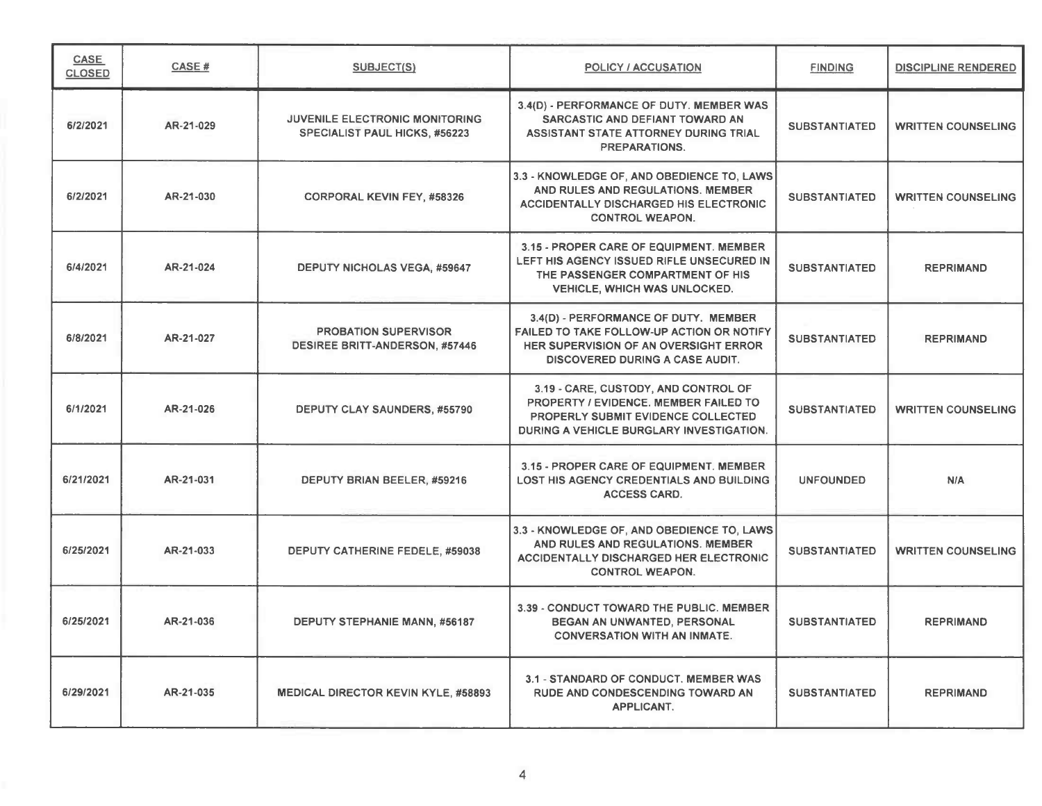| <b>CASE</b><br><b>CLOSED</b> | CASE#     | <b>SUBJECT(S)</b>                                                    | <b>POLICY / ACCUSATION</b>                                                                                                                                             | <b>FINDING</b>       | <b>DISCIPLINE RENDERED</b> |
|------------------------------|-----------|----------------------------------------------------------------------|------------------------------------------------------------------------------------------------------------------------------------------------------------------------|----------------------|----------------------------|
| 6/2/2021                     | AR-21-029 | JUVENILE ELECTRONIC MONITORING<br>SPECIALIST PAUL HICKS, #56223      | 3.4(D) - PERFORMANCE OF DUTY. MEMBER WAS<br>SARCASTIC AND DEFIANT TOWARD AN<br>ASSISTANT STATE ATTORNEY DURING TRIAL<br>PREPARATIONS.                                  | <b>SUBSTANTIATED</b> | <b>WRITTEN COUNSELING</b>  |
| 6/2/2021                     | AR-21-030 | <b>CORPORAL KEVIN FEY, #58326</b>                                    | 3.3 - KNOWLEDGE OF, AND OBEDIENCE TO, LAWS<br>AND RULES AND REGULATIONS. MEMBER<br><b>ACCIDENTALLY DISCHARGED HIS ELECTRONIC</b><br><b>CONTROL WEAPON.</b>             | <b>SUBSTANTIATED</b> | <b>WRITTEN COUNSELING</b>  |
| 6/4/2021                     | AR-21-024 | <b>DEPUTY NICHOLAS VEGA, #59647</b>                                  | 3.15 - PROPER CARE OF EQUIPMENT. MEMBER<br>LEFT HIS AGENCY ISSUED RIFLE UNSECURED IN<br>THE PASSENGER COMPARTMENT OF HIS<br><b>VEHICLE, WHICH WAS UNLOCKED.</b>        | <b>SUBSTANTIATED</b> | <b>REPRIMAND</b>           |
| 6/8/2021                     | AR-21-027 | <b>PROBATION SUPERVISOR</b><br><b>DESIREE BRITT-ANDERSON, #57446</b> | 3.4(D) - PERFORMANCE OF DUTY. MEMBER<br>FAILED TO TAKE FOLLOW-UP ACTION OR NOTIFY<br>HER SUPERVISION OF AN OVERSIGHT ERROR<br><b>DISCOVERED DURING A CASE AUDIT.</b>   | <b>SUBSTANTIATED</b> | <b>REPRIMAND</b>           |
| 6/1/2021                     | AR-21-026 | DEPUTY CLAY SAUNDERS, #55790                                         | 3.19 - CARE, CUSTODY, AND CONTROL OF<br>PROPERTY / EVIDENCE. MEMBER FAILED TO<br><b>PROPERLY SUBMIT EVIDENCE COLLECTED</b><br>DURING A VEHICLE BURGLARY INVESTIGATION. | <b>SUBSTANTIATED</b> | <b>WRITTEN COUNSELING</b>  |
| 6/21/2021                    | AR-21-031 | DEPUTY BRIAN BEELER, #59216                                          | 3.15 - PROPER CARE OF EQUIPMENT. MEMBER<br>LOST HIS AGENCY CREDENTIALS AND BUILDING<br><b>ACCESS CARD.</b>                                                             | <b>UNFOUNDED</b>     | N/A                        |
| 6/25/2021                    | AR-21-033 | DEPUTY CATHERINE FEDELE, #59038                                      | 3.3 - KNOWLEDGE OF, AND OBEDIENCE TO, LAWS<br>AND RULES AND REGULATIONS. MEMBER<br>ACCIDENTALLY DISCHARGED HER ELECTRONIC<br><b>CONTROL WEAPON.</b>                    | <b>SUBSTANTIATED</b> | <b>WRITTEN COUNSELING</b>  |
| 6/25/2021                    | AR-21-036 | <b>DEPUTY STEPHANIE MANN, #56187</b>                                 | 3.39 - CONDUCT TOWARD THE PUBLIC. MEMBER<br>BEGAN AN UNWANTED, PERSONAL<br><b>CONVERSATION WITH AN INMATE.</b>                                                         | <b>SUBSTANTIATED</b> | <b>REPRIMAND</b>           |
| 6/29/2021                    | AR-21-035 | <b>MEDICAL DIRECTOR KEVIN KYLE, #58893</b>                           | 3.1 - STANDARD OF CONDUCT. MEMBER WAS<br>RUDE AND CONDESCENDING TOWARD AN<br><b>APPLICANT.</b>                                                                         | <b>SUBSTANTIATED</b> | <b>REPRIMAND</b>           |